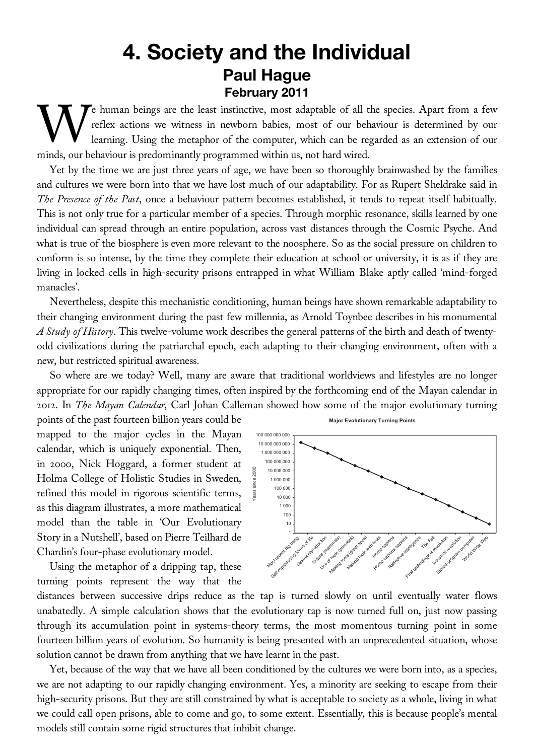## **4. Society and the Individual Paul Hague February 2011**

Te human beings are the least instinctive, most adaptable of all the species. Apart from a few reflex actions we witness in newborn babies, most of our behaviour is determined by our learning. Using the metaphor of the computer, which can be regarded as an extension of our We human beings are the least instinctive, most adaptable of all the reflex actions we witness in newborn babies, most of our behaviour learning. Using the metaphor of the computer, which can be regiminds, our behaviour is

Yet by the time we are just three years of age, we have been so thoroughly brainwashed by the families and cultures we were born into that we have lost much of our adaptability. For as Rupert Sheldrake said in *The Presence of the Past*, once a behaviour pattern becomes established, it tends to repeat itself habitually. This is not only true for a particular member of a species. Through morphic resonance, skills learned by one individual can spread through an entire population, across vast distances through the Cosmic Psyche. And what is true of the biosphere is even more relevant to the noosphere. So as the social pressure on children to conform is so intense, by the time they complete their education at school or university, it is as if they are living in locked cells in high-security prisons entrapped in what William Blake aptly called 'mind-forged manacles'.

Nevertheless, despite this mechanistic conditioning, human beings have shown remarkable adaptability to their changing environment during the past few millennia, as Arnold Toynbee describes in his monumental *A Study of History*. This twelve-volume work describes the general patterns of the birth and death of twentyodd civilizations during the patriarchal epoch, each adapting to their changing environment, often with a new, but restricted spiritual awareness.

So where are we today? Well, many are aware that traditional worldviews and lifestyles are no longer appropriate for our rapidly changing times, often inspired by the forthcoming end of the Mayan calendar in 2012. In *The Mayan Calendar*, Carl Johan Calleman showed how some of the major evolutionary turning

points of the past fourteen billion years could be mapped to the major cycles in the Mayan calendar, which is uniquely exponential. Then, in 2000, Nick Hoggard, a former student at Holma College of Holistic Studies in Sweden, refined this model in rigorous scientific terms, as this diagram illustrates, a more mathematical model than the table in 'Our Evolutionary Story in a Nutshell', based on Pierre Teilhard de Chardin's four-phase evolutionary model.

Using the metaphor of a dripping tap, these turning points represent the way that the



distances between successive drips reduce as the tap is turned slowly on until eventually water flows unabatedly. A simple calculation shows that the evolutionary tap is now turned full on, just now passing through its accumulation point in systems-theory terms, the most momentous turning point in some fourteen billion years of evolution. So humanity is being presented with an unprecedented situation, whose solution cannot be drawn from anything that we have learnt in the past.

Yet, because of the way that we have all been conditioned by the cultures we were born into, as a species, we are not adapting to our rapidly changing environment. Yes, a minority are seeking to escape from their high-security prisons. But they are still constrained by what is acceptable to society as a whole, living in what we could call open prisons, able to come and go, to some extent. Essentially, this is because people's mental models still contain some rigid structures that inhibit change.